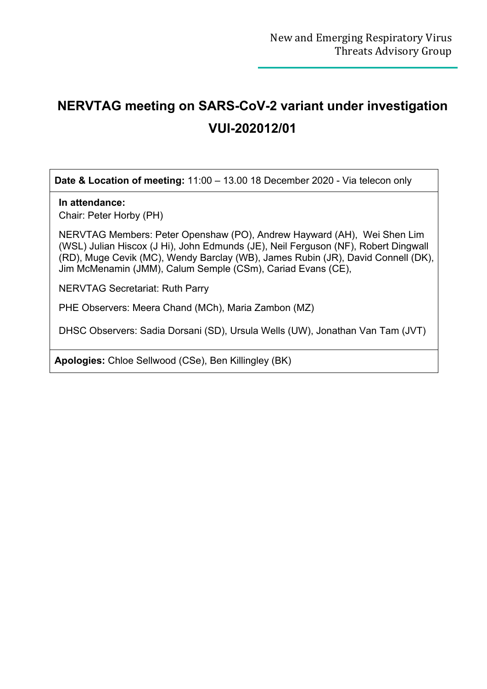## **NERVTAG meeting on SARS-CoV-2 variant under investigation VUI-202012/01**

**Date & Location of meeting:** 11:00 – 13.00 18 December 2020 - Via telecon only

## **In attendance:**

Chair: Peter Horby (PH)

NERVTAG Members: Peter Openshaw (PO), Andrew Hayward (AH), Wei Shen Lim (WSL) Julian Hiscox (J Hi), John Edmunds (JE), Neil Ferguson (NF), Robert Dingwall (RD), Muge Cevik (MC), Wendy Barclay (WB), James Rubin (JR), David Connell (DK), Jim McMenamin (JMM), Calum Semple (CSm), Cariad Evans (CE),

NERVTAG Secretariat: Ruth Parry

PHE Observers: Meera Chand (MCh), Maria Zambon (MZ)

DHSC Observers: Sadia Dorsani (SD), Ursula Wells (UW), Jonathan Van Tam (JVT)

**Apologies:** Chloe Sellwood (CSe), Ben Killingley (BK)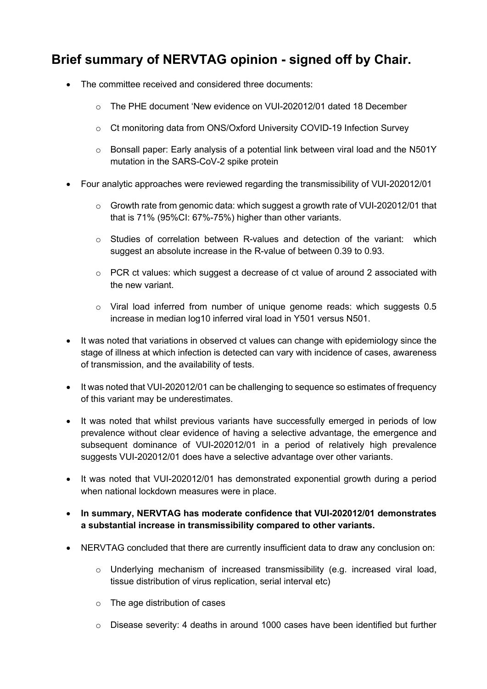## **Brief summary of NERVTAG opinion - signed off by Chair.**

- The committee received and considered three documents:
	- o The PHE document 'New evidence on VUI-202012/01 dated 18 December
	- o Ct monitoring data from ONS/Oxford University COVID-19 Infection Survey
	- $\circ$  Bonsall paper: Early analysis of a potential link between viral load and the N501Y mutation in the SARS-CoV-2 spike protein
- Four analytic approaches were reviewed regarding the transmissibility of VUI-202012/01
	- o Growth rate from genomic data: which suggest a growth rate of VUI-202012/01 that that is 71% (95%CI: 67%-75%) higher than other variants.
	- $\circ$  Studies of correlation between R-values and detection of the variant: which suggest an absolute increase in the R-value of between 0.39 to 0.93.
	- o PCR ct values: which suggest a decrease of ct value of around 2 associated with the new variant.
	- o Viral load inferred from number of unique genome reads: which suggests 0.5 increase in median log10 inferred viral load in Y501 versus N501.
- It was noted that variations in observed ct values can change with epidemiology since the stage of illness at which infection is detected can vary with incidence of cases, awareness of transmission, and the availability of tests.
- It was noted that VUI-202012/01 can be challenging to sequence so estimates of frequency of this variant may be underestimates.
- It was noted that whilst previous variants have successfully emerged in periods of low prevalence without clear evidence of having a selective advantage, the emergence and subsequent dominance of VUI-202012/01 in a period of relatively high prevalence suggests VUI-202012/01 does have a selective advantage over other variants.
- It was noted that VUI-202012/01 has demonstrated exponential growth during a period when national lockdown measures were in place.
- **In summary, NERVTAG has moderate confidence that VUI-202012/01 demonstrates a substantial increase in transmissibility compared to other variants.**
- NERVTAG concluded that there are currently insufficient data to draw any conclusion on:
	- o Underlying mechanism of increased transmissibility (e.g. increased viral load, tissue distribution of virus replication, serial interval etc)
	- o The age distribution of cases
	- $\circ$  Disease severity: 4 deaths in around 1000 cases have been identified but further